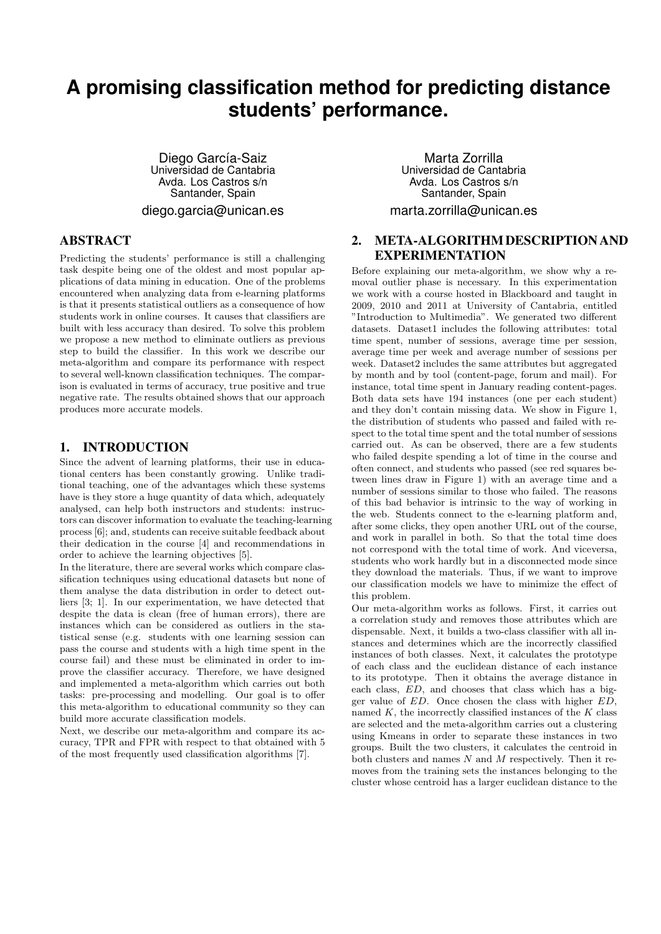# **A promising classification method for predicting distance students' performance.**

Diego García-Saiz Universidad de Cantabria Avda. Los Castros s/n Santander, Spain diego.garcia@unican.es

### **ABSTRACT**

Predicting the students' performance is still a challenging task despite being one of the oldest and most popular applications of data mining in education. One of the problems encountered when analyzing data from e-learning platforms is that it presents statistical outliers as a consequence of how students work in online courses. It causes that classifiers are built with less accuracy than desired. To solve this problem we propose a new method to eliminate outliers as previous step to build the classifier. In this work we describe our meta-algorithm and compare its performance with respect to several well-known classification techniques. The comparison is evaluated in terms of accuracy, true positive and true negative rate. The results obtained shows that our approach produces more accurate models.

# 1. INTRODUCTION

Since the advent of learning platforms, their use in educational centers has been constantly growing. Unlike traditional teaching, one of the advantages which these systems have is they store a huge quantity of data which, adequately analysed, can help both instructors and students: instructors can discover information to evaluate the teaching-learning process [6]; and, students can receive suitable feedback about their dedication in the course [4] and recommendations in order to achieve the learning objectives [5].

In the literature, there are several works which compare classification techniques using educational datasets but none of them analyse the data distribution in order to detect outliers [3; 1]. In our experimentation, we have detected that despite the data is clean (free of human errors), there are instances which can be considered as outliers in the statistical sense (e.g. students with one learning session can pass the course and students with a high time spent in the course fail) and these must be eliminated in order to improve the classifier accuracy. Therefore, we have designed and implemented a meta-algorithm which carries out both tasks: pre-processing and modelling. Our goal is to offer this meta-algorithm to educational community so they can build more accurate classification models.

Next, we describe our meta-algorithm and compare its accuracy, TPR and FPR with respect to that obtained with 5 of the most frequently used classification algorithms [7].

Marta Zorrilla Universidad de Cantabria Avda. Los Castros s/n Santander, Spain marta.zorrilla@unican.es

# 2. META-ALGORITHM DESCRIPTION AND EXPERIMENTATION

Before explaining our meta-algorithm, we show why a removal outlier phase is necessary. In this experimentation we work with a course hosted in Blackboard and taught in 2009, 2010 and 2011 at University of Cantabria, entitled "Introduction to Multimedia". We generated two different datasets. Dataset1 includes the following attributes: total time spent, number of sessions, average time per session, average time per week and average number of sessions per week. Dataset2 includes the same attributes but aggregated by month and by tool (content-page, forum and mail). For instance, total time spent in January reading content-pages. Both data sets have 194 instances (one per each student) and they don't contain missing data. We show in Figure 1, the distribution of students who passed and failed with respect to the total time spent and the total number of sessions carried out. As can be observed, there are a few students who failed despite spending a lot of time in the course and often connect, and students who passed (see red squares between lines draw in Figure 1) with an average time and a number of sessions similar to those who failed. The reasons of this bad behavior is intrinsic to the way of working in the web. Students connect to the e-learning platform and, after some clicks, they open another URL out of the course, and work in parallel in both. So that the total time does not correspond with the total time of work. And viceversa, students who work hardly but in a disconnected mode since they download the materials. Thus, if we want to improve our classification models we have to minimize the effect of this problem.

Our meta-algorithm works as follows. First, it carries out a correlation study and removes those attributes which are dispensable. Next, it builds a two-class classifier with all instances and determines which are the incorrectly classified instances of both classes. Next, it calculates the prototype of each class and the euclidean distance of each instance to its prototype. Then it obtains the average distance in each class, *ED*, and chooses that class which has a bigger value of *ED*. Once chosen the class with higher *ED*, named *K*, the incorrectly classified instances of the *K* class are selected and the meta-algorithm carries out a clustering using Kmeans in order to separate these instances in two groups. Built the two clusters, it calculates the centroid in both clusters and names *N* and *M* respectively. Then it removes from the training sets the instances belonging to the cluster whose centroid has a larger euclidean distance to the